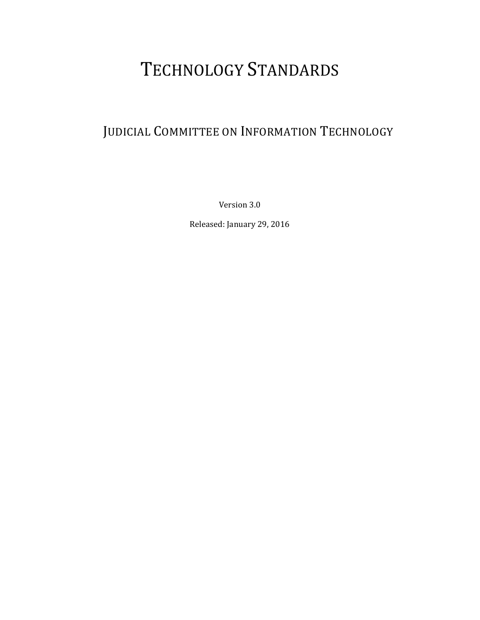# TECHNOLOGY STANDARDS

# JUDICIAL COMMITTEE ON INFORMATION TECHNOLOGY

Version 3.0

Released: January 29, 2016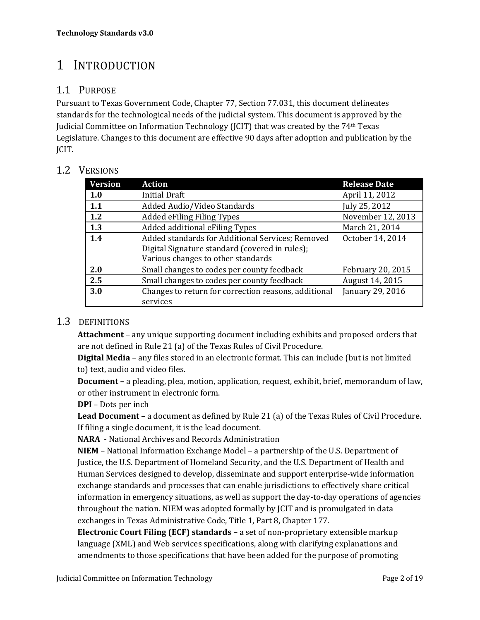# 1 INTRODUCTION

#### 1.1 PURPOSE

Pursuant to Texas Government Code, Chapter 77, Section 77.031, this document delineates standards for the technological needs of the judicial system. This document is approved by the Judicial Committee on Information Technology (JCIT) that was created by the  $74<sup>th</sup>$  Texas Legislature. Changes to this document are effective 90 days after adoption and publication by the JCIT. 

#### 1.2 VERSIONS

| <b>Version</b> | <b>Action</b>                                        | <b>Release Date</b> |
|----------------|------------------------------------------------------|---------------------|
| 1.0            | <b>Initial Draft</b>                                 | April 11, 2012      |
| 1.1            | Added Audio/Video Standards                          | July 25, 2012       |
| 1.2            | Added eFiling Filing Types                           | November 12, 2013   |
| 1.3            | Added additional eFiling Types                       | March 21, 2014      |
| 1.4            | Added standards for Additional Services; Removed     | October 14, 2014    |
|                | Digital Signature standard (covered in rules);       |                     |
|                | Various changes to other standards                   |                     |
| 2.0            | Small changes to codes per county feedback           | February 20, 2015   |
| 2.5            | Small changes to codes per county feedback           | August 14, 2015     |
| 3.0            | Changes to return for correction reasons, additional | January 29, 2016    |
|                | services                                             |                     |

#### 1.3 DEFINITIONS

**Attachment** – any unique supporting document including exhibits and proposed orders that are not defined in Rule 21 (a) of the Texas Rules of Civil Procedure.

**Digital Media** – any files stored in an electronic format. This can include (but is not limited to) text, audio and video files.

**Document** – a pleading, plea, motion, application, request, exhibit, brief, memorandum of law, or other instrument in electronic form.

**DPI** – Dots per inch

**Lead Document** – a document as defined by Rule 21 (a) of the Texas Rules of Civil Procedure. If filing a single document, it is the lead document.

**NARA** - National Archives and Records Administration

**NIEM** – National Information Exchange Model – a partnership of the U.S. Department of Justice, the U.S. Department of Homeland Security, and the U.S. Department of Health and Human Services designed to develop, disseminate and support enterprise-wide information exchange standards and processes that can enable jurisdictions to effectively share critical information in emergency situations, as well as support the day-to-day operations of agencies throughout the nation. NIEM was adopted formally by JCIT and is promulgated in data exchanges in Texas Administrative Code, Title 1, Part 8, Chapter 177.

**Electronic Court Filing (ECF) standards** – a set of non‐proprietary extensible markup language (XML) and Web services specifications, along with clarifying explanations and amendments to those specifications that have been added for the purpose of promoting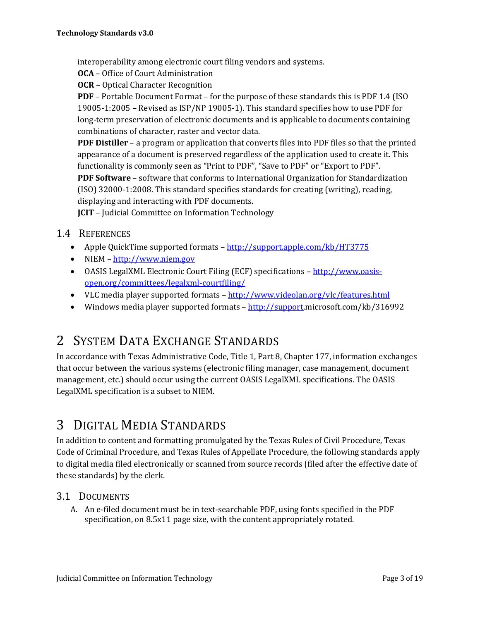interoperability among electronic court filing vendors and systems.

**OCA** – Office of Court Administration

**OCR** – Optical Character Recognition

**PDF** – Portable Document Format – for the purpose of these standards this is PDF 1.4 (ISO) 19005-1:2005 – Revised as  $ISP/NP$  19005-1). This standard specifies how to use PDF for long-term preservation of electronic documents and is applicable to documents containing combinations of character, raster and vector data.

**PDF Distiller** – a program or application that converts files into PDF files so that the printed appearance of a document is preserved regardless of the application used to create it. This functionality is commonly seen as "Print to PDF", "Save to PDF" or "Export to PDF".

**PDF Software** – software that conforms to International Organization for Standardization  $(ISO)$  32000-1:2008. This standard specifies standards for creating (writing), reading, displaying and interacting with PDF documents.

**JCIT** – Judicial Committee on Information Technology

- 1.4 REFERENCES
	- Apple QuickTime supported formats http://support.apple.com/kb/HT3775
	- NIEM http://www.niem.gov
	- OASIS LegalXML Electronic Court Filing (ECF) specifications http://www.oasisopen.org/committees/legalxml‐courtfiling/
	- VLC media player supported formats http://www.videolan.org/vlc/features.html
	- Windows media player supported formats  $-\frac{http://support.microsoft.com/kb/316992}$

# 2 SYSTEM DATA EXCHANGE STANDARDS

In accordance with Texas Administrative Code, Title 1, Part 8, Chapter 177, information exchanges that occur between the various systems (electronic filing manager, case management, document management, etc.) should occur using the current OASIS LegalXML specifications. The OASIS LegalXML specification is a subset to NIEM.

# 3 DIGITAL MEDIA STANDARDS

In addition to content and formatting promulgated by the Texas Rules of Civil Procedure, Texas Code of Criminal Procedure, and Texas Rules of Appellate Procedure, the following standards apply to digital media filed electronically or scanned from source records (filed after the effective date of these standards) by the clerk.

#### 3.1 DOCUMENTS

A. An e-filed document must be in text-searchable PDF, using fonts specified in the PDF specification, on 8.5x11 page size, with the content appropriately rotated.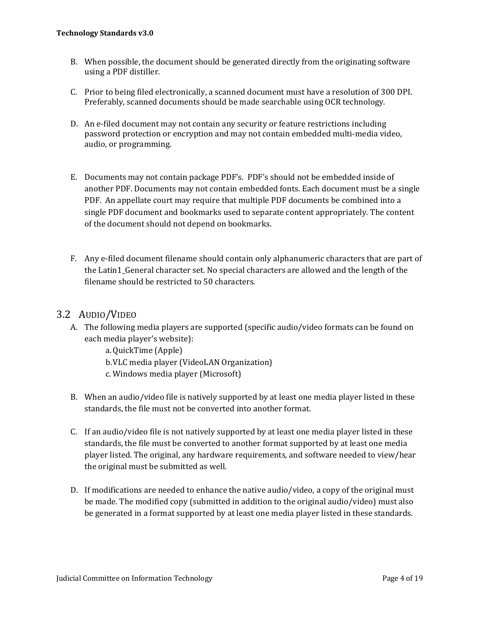- B. When possible, the document should be generated directly from the originating software using a PDF distiller.
- C. Prior to being filed electronically, a scanned document must have a resolution of 300 DPI. Preferably, scanned documents should be made searchable using OCR technology.
- D. An e-filed document may not contain any security or feature restrictions including password protection or encryption and may not contain embedded multi-media video, audio, or programming.
- E. Documents may not contain package PDF's. PDF's should not be embedded inside of another PDF. Documents may not contain embedded fonts. Each document must be a single PDF. An appellate court may require that multiple PDF documents be combined into a single PDF document and bookmarks used to separate content appropriately. The content of the document should not depend on bookmarks.
- F. Any e-filed document filename should contain only alphanumeric characters that are part of the Latin1 General character set. No special characters are allowed and the length of the filename should be restricted to 50 characters.

#### 3.2 AUDIO/VIDEO

- A. The following media players are supported (specific audio/video formats can be found on each media player's website):
	- a.QuickTime (Apple)
	- b. VLC media player (VideoLAN Organization)
	- c. Windows media player (Microsoft)
- B. When an audio/video file is natively supported by at least one media player listed in these standards, the file must not be converted into another format.
- $C.$  If an audio/video file is not natively supported by at least one media player listed in these standards, the file must be converted to another format supported by at least one media player listed. The original, any hardware requirements, and software needed to view/hear the original must be submitted as well.
- D. If modifications are needed to enhance the native audio/video, a copy of the original must be made. The modified copy (submitted in addition to the original audio/video) must also be generated in a format supported by at least one media player listed in these standards.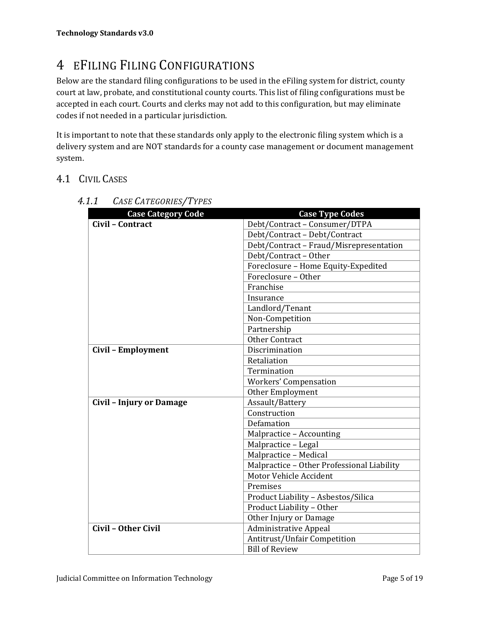# 4 EFILING FILING CONFIGURATIONS

Below are the standard filing configurations to be used in the eFiling system for district, county court at law, probate, and constitutional county courts. This list of filing configurations must be accepted in each court. Courts and clerks may not add to this configuration, but may eliminate codes if not needed in a particular jurisdiction.

It is important to note that these standards only apply to the electronic filing system which is a delivery system and are NOT standards for a county case management or document management system. 

#### 4.1 CIVIL CASES

| <b>Case Category Code</b>       | <b>Case Type Codes</b>                     |
|---------------------------------|--------------------------------------------|
| Civil - Contract                | Debt/Contract - Consumer/DTPA              |
|                                 | Debt/Contract - Debt/Contract              |
|                                 | Debt/Contract - Fraud/Misrepresentation    |
|                                 | Debt/Contract - Other                      |
|                                 | Foreclosure - Home Equity-Expedited        |
|                                 | Foreclosure - Other                        |
|                                 | Franchise                                  |
|                                 | Insurance                                  |
|                                 | Landlord/Tenant                            |
|                                 | Non-Competition                            |
|                                 | Partnership                                |
|                                 | <b>Other Contract</b>                      |
| Civil - Employment              | Discrimination                             |
|                                 | Retaliation                                |
|                                 | Termination                                |
|                                 | <b>Workers' Compensation</b>               |
|                                 | Other Employment                           |
| <b>Civil - Injury or Damage</b> | Assault/Battery                            |
|                                 | Construction                               |
|                                 | Defamation                                 |
|                                 | Malpractice - Accounting                   |
|                                 | Malpractice - Legal                        |
|                                 | Malpractice - Medical                      |
|                                 | Malpractice - Other Professional Liability |
|                                 | Motor Vehicle Accident                     |
|                                 | Premises                                   |
|                                 | Product Liability - Asbestos/Silica        |
|                                 | Product Liability - Other                  |
|                                 | Other Injury or Damage                     |
| Civil - Other Civil             | <b>Administrative Appeal</b>               |
|                                 | Antitrust/Unfair Competition               |
|                                 | <b>Bill of Review</b>                      |

*4.1.1 CASE CATEGORIES/TYPES*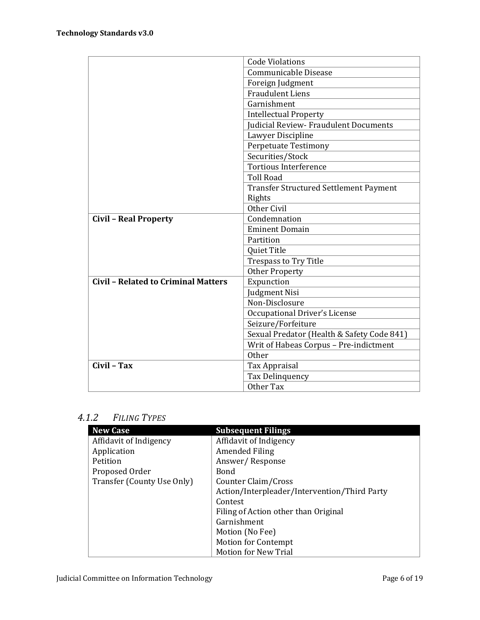|                                            | <b>Code Violations</b>                     |
|--------------------------------------------|--------------------------------------------|
|                                            | Communicable Disease                       |
|                                            | Foreign Judgment                           |
|                                            | <b>Fraudulent Liens</b>                    |
|                                            | Garnishment                                |
|                                            | <b>Intellectual Property</b>               |
|                                            | Judicial Review- Fraudulent Documents      |
|                                            | Lawyer Discipline                          |
|                                            | <b>Perpetuate Testimony</b>                |
|                                            | Securities/Stock                           |
|                                            | <b>Tortious Interference</b>               |
|                                            | <b>Toll Road</b>                           |
|                                            | Transfer Structured Settlement Payment     |
|                                            | Rights                                     |
|                                            | Other Civil                                |
| <b>Civil - Real Property</b>               | Condemnation                               |
|                                            | <b>Eminent Domain</b>                      |
|                                            | Partition                                  |
|                                            | Quiet Title                                |
|                                            | <b>Trespass to Try Title</b>               |
|                                            | <b>Other Property</b>                      |
| <b>Civil - Related to Criminal Matters</b> | Expunction                                 |
|                                            | Judgment Nisi                              |
|                                            | Non-Disclosure                             |
|                                            | <b>Occupational Driver's License</b>       |
|                                            | Seizure/Forfeiture                         |
|                                            | Sexual Predator (Health & Safety Code 841) |
|                                            | Writ of Habeas Corpus - Pre-indictment     |
|                                            | Other                                      |
| Civil - Tax                                | Tax Appraisal                              |
|                                            | Tax Delinquency                            |
|                                            | Other Tax                                  |

#### *4.1.2 FILING TYPES*

| <b>New Case</b>            | <b>Subsequent Filings</b>                    |
|----------------------------|----------------------------------------------|
| Affidavit of Indigency     | Affidavit of Indigency                       |
| Application                | Amended Filing                               |
| Petition                   | Answer/Response                              |
| Proposed Order             | Bond                                         |
| Transfer (County Use Only) | Counter Claim/Cross                          |
|                            | Action/Interpleader/Intervention/Third Party |
|                            | Contest                                      |
|                            | Filing of Action other than Original         |
|                            | Garnishment                                  |
|                            | Motion (No Fee)                              |
|                            | <b>Motion for Contempt</b>                   |
|                            | <b>Motion for New Trial</b>                  |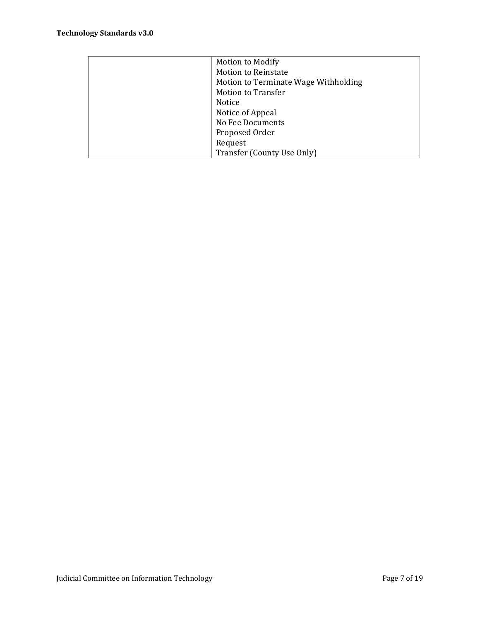| <b>Motion to Modify</b>              |
|--------------------------------------|
| <b>Motion to Reinstate</b>           |
| Motion to Terminate Wage Withholding |
| <b>Motion to Transfer</b>            |
| Notice                               |
| Notice of Appeal                     |
| No Fee Documents                     |
| Proposed Order                       |
| Request                              |
| Transfer (County Use Only)           |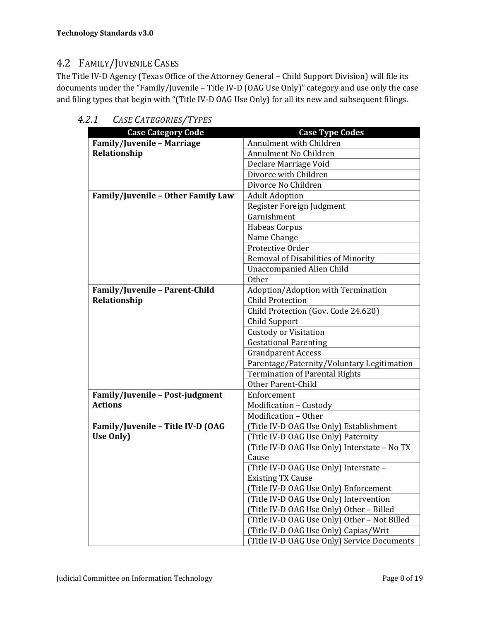### 4.2 FAMILY/JUVENILE CASES

The Title IV-D Agency (Texas Office of the Attorney General - Child Support Division) will file its documents under the "Family/Juvenile - Title IV-D (OAG Use Only)" category and use only the case and filing types that begin with "(Title IV-D OAG Use Only) for all its new and subsequent filings.

| <b>Case Category Code</b>          | <b>Case Type Codes</b>                       |
|------------------------------------|----------------------------------------------|
| Family/Juvenile - Marriage         | Annulment with Children                      |
| Relationship                       | Annulment No Children                        |
|                                    | Declare Marriage Void                        |
|                                    | Divorce with Children                        |
|                                    | Divorce No Children                          |
| Family/Juvenile - Other Family Law | <b>Adult Adoption</b>                        |
|                                    | Register Foreign Judgment                    |
|                                    | Garnishment                                  |
|                                    | Habeas Corpus                                |
|                                    | Name Change                                  |
|                                    | Protective Order                             |
|                                    | Removal of Disabilities of Minority          |
|                                    | <b>Unaccompanied Alien Child</b>             |
|                                    | Other                                        |
| Family/Juvenile - Parent-Child     | Adoption/Adoption with Termination           |
| Relationship                       | <b>Child Protection</b>                      |
|                                    | Child Protection (Gov. Code 24.620)          |
|                                    | Child Support                                |
|                                    | <b>Custody or Visitation</b>                 |
|                                    | <b>Gestational Parenting</b>                 |
|                                    | <b>Grandparent Access</b>                    |
|                                    | Parentage/Paternity/Voluntary Legitimation   |
|                                    | <b>Termination of Parental Rights</b>        |
|                                    | Other Parent-Child                           |
| Family/Juvenile - Post-judgment    | Enforcement                                  |
| <b>Actions</b>                     | Modification - Custody                       |
|                                    | Modification - Other                         |
| Family/Juvenile - Title IV-D (OAG  | (Title IV-D OAG Use Only) Establishment      |
| Use Only)                          | (Title IV-D OAG Use Only) Paternity          |
|                                    | (Title IV-D OAG Use Only) Interstate - No TX |
|                                    | Cause                                        |
|                                    | (Title IV-D OAG Use Only) Interstate -       |
|                                    | <b>Existing TX Cause</b>                     |
|                                    | (Title IV-D OAG Use Only) Enforcement        |
|                                    | (Title IV-D OAG Use Only) Intervention       |
|                                    | (Title IV-D OAG Use Only) Other - Billed     |
|                                    | (Title IV-D OAG Use Only) Other - Not Billed |
|                                    | (Title IV-D OAG Use Only) Capias/Writ        |
|                                    | (Title IV-D OAG Use Only) Service Documents  |

*4.2.1 CASE CATEGORIES/TYPES*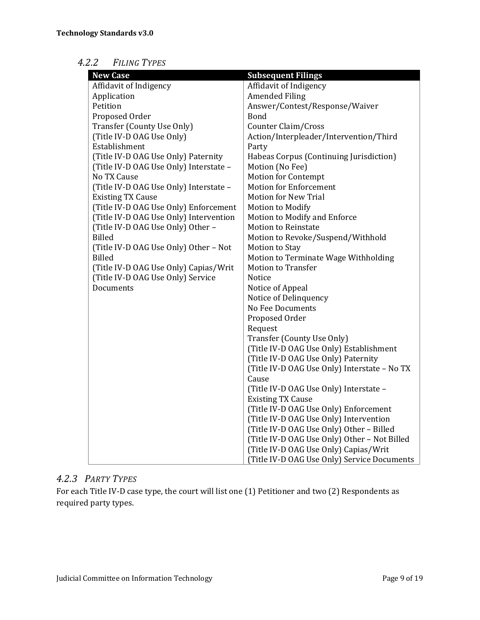### *4.2.2 FILING TYPES*

| <b>New Case</b>                        | <b>Subsequent Filings</b>                    |
|----------------------------------------|----------------------------------------------|
| Affidavit of Indigency                 | Affidavit of Indigency                       |
| Application                            | <b>Amended Filing</b>                        |
| Petition                               | Answer/Contest/Response/Waiver               |
| Proposed Order                         | Bond                                         |
| Transfer (County Use Only)             | Counter Claim/Cross                          |
| (Title IV-D OAG Use Only)              | Action/Interpleader/Intervention/Third       |
| Establishment                          | Party                                        |
| (Title IV-D OAG Use Only) Paternity    | Habeas Corpus (Continuing Jurisdiction)      |
| (Title IV-D OAG Use Only) Interstate - | Motion (No Fee)                              |
| No TX Cause                            | <b>Motion for Contempt</b>                   |
| (Title IV-D OAG Use Only) Interstate - | <b>Motion for Enforcement</b>                |
| <b>Existing TX Cause</b>               | <b>Motion for New Trial</b>                  |
| (Title IV-D OAG Use Only) Enforcement  | Motion to Modify                             |
| (Title IV-D OAG Use Only) Intervention | Motion to Modify and Enforce                 |
| (Title IV-D OAG Use Only) Other -      | <b>Motion to Reinstate</b>                   |
| Billed                                 | Motion to Revoke/Suspend/Withhold            |
| (Title IV-D OAG Use Only) Other - Not  | Motion to Stay                               |
| <b>Billed</b>                          | Motion to Terminate Wage Withholding         |
| (Title IV-D OAG Use Only) Capias/Writ  | <b>Motion to Transfer</b>                    |
| (Title IV-D OAG Use Only) Service      | <b>Notice</b>                                |
| Documents                              | Notice of Appeal                             |
|                                        | Notice of Delinquency                        |
|                                        | No Fee Documents                             |
|                                        | Proposed Order                               |
|                                        | Request                                      |
|                                        | Transfer (County Use Only)                   |
|                                        | (Title IV-D OAG Use Only) Establishment      |
|                                        | (Title IV-D OAG Use Only) Paternity          |
|                                        | (Title IV-D OAG Use Only) Interstate - No TX |
|                                        | Cause                                        |
|                                        | (Title IV-D OAG Use Only) Interstate -       |
|                                        | <b>Existing TX Cause</b>                     |
|                                        | (Title IV-D OAG Use Only) Enforcement        |
|                                        | (Title IV-D OAG Use Only) Intervention       |
|                                        | (Title IV-D OAG Use Only) Other - Billed     |
|                                        | (Title IV-D OAG Use Only) Other - Not Billed |
|                                        | (Title IV-D OAG Use Only) Capias/Writ        |
|                                        | (Title IV-D OAG Use Only) Service Documents  |

#### *4.2.3 PARTY TYPES*

For each Title IV-D case type, the court will list one (1) Petitioner and two (2) Respondents as required party types.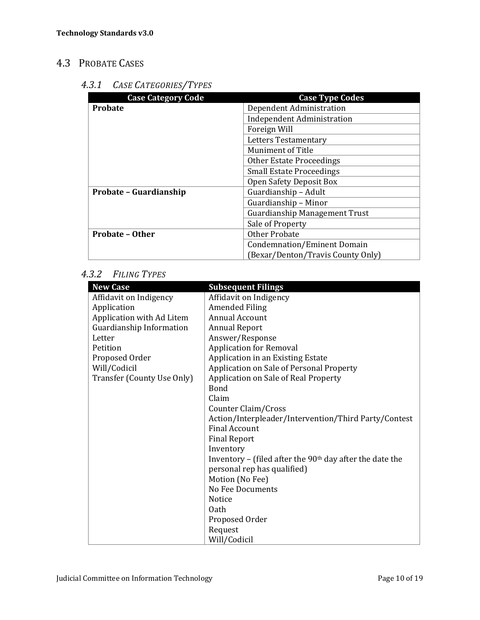## 4.3 PROBATE CASES

#### *4.3.1 CASE CATEGORIES/TYPES*

| <b>Case Category Code</b> | <b>Case Type Codes</b>               |
|---------------------------|--------------------------------------|
| <b>Probate</b>            | Dependent Administration             |
|                           | <b>Independent Administration</b>    |
|                           | Foreign Will                         |
|                           | <b>Letters Testamentary</b>          |
|                           | <b>Muniment of Title</b>             |
|                           | <b>Other Estate Proceedings</b>      |
|                           | <b>Small Estate Proceedings</b>      |
|                           | Open Safety Deposit Box              |
| Probate – Guardianship    | Guardianship - Adult                 |
|                           | Guardianship - Minor                 |
|                           | <b>Guardianship Management Trust</b> |
|                           | Sale of Property                     |
| <b>Probate - Other</b>    | <b>Other Probate</b>                 |
|                           | Condemnation/Eminent Domain          |
|                           | (Bexar/Denton/Travis County Only)    |

#### *4.3.2 FILING TYPES*

| <b>New Case</b>            | <b>Subsequent Filings</b>                                  |
|----------------------------|------------------------------------------------------------|
| Affidavit on Indigency     | Affidavit on Indigency                                     |
| Application                | <b>Amended Filing</b>                                      |
| Application with Ad Litem  | Annual Account                                             |
| Guardianship Information   | <b>Annual Report</b>                                       |
| Letter                     | Answer/Response                                            |
| Petition                   | <b>Application for Removal</b>                             |
| Proposed Order             | Application in an Existing Estate                          |
| Will/Codicil               | Application on Sale of Personal Property                   |
| Transfer (County Use Only) | Application on Sale of Real Property                       |
|                            | <b>Bond</b>                                                |
|                            | Claim                                                      |
|                            | Counter Claim/Cross                                        |
|                            | Action/Interpleader/Intervention/Third Party/Contest       |
|                            | <b>Final Account</b>                                       |
|                            | <b>Final Report</b>                                        |
|                            | Inventory                                                  |
|                            | Inventory – (filed after the $90th$ day after the date the |
|                            | personal rep has qualified)                                |
|                            | Motion (No Fee)                                            |
|                            | No Fee Documents                                           |
|                            | Notice                                                     |
|                            | 0ath                                                       |
|                            | Proposed Order                                             |
|                            | Request                                                    |
|                            | Will/Codicil                                               |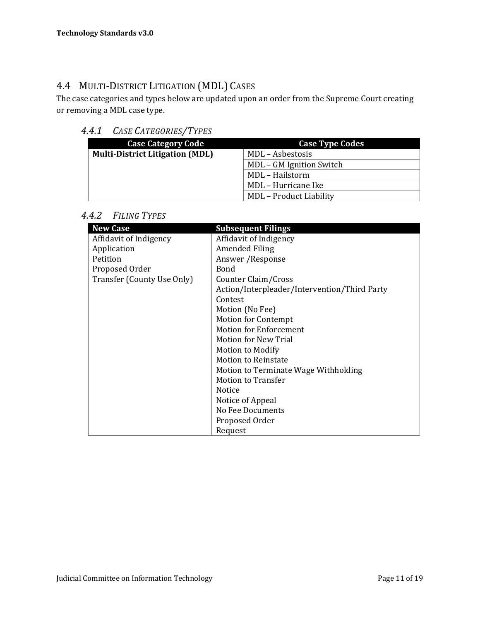### 4.4 MULTI-DISTRICT LITIGATION (MDL) CASES

The case categories and types below are updated upon an order from the Supreme Court creating or removing a MDL case type.

#### *4.4.1 CASE CATEGORIES/TYPES*

| <b>Case Category Code</b>              | <b>Case Type Codes</b>         |
|----------------------------------------|--------------------------------|
| <b>Multi-District Litigation (MDL)</b> | MDL - Asbestosis               |
|                                        | MDL – GM Ignition Switch       |
|                                        | MDL - Hailstorm                |
|                                        | MDL - Hurricane Ike            |
|                                        | <b>MDL</b> - Product Liability |

*4.4.2 FILING TYPES*

| <b>New Case</b>            | <b>Subsequent Filings</b>                    |
|----------------------------|----------------------------------------------|
| Affidavit of Indigency     | Affidavit of Indigency                       |
| Application                | Amended Filing                               |
| Petition                   | Answer / Response                            |
| Proposed Order             | <b>Bond</b>                                  |
| Transfer (County Use Only) | Counter Claim/Cross                          |
|                            | Action/Interpleader/Intervention/Third Party |
|                            | Contest                                      |
|                            | Motion (No Fee)                              |
|                            | <b>Motion for Contempt</b>                   |
|                            | <b>Motion for Enforcement</b>                |
|                            | Motion for New Trial                         |
|                            | <b>Motion to Modify</b>                      |
|                            | <b>Motion to Reinstate</b>                   |
|                            | Motion to Terminate Wage Withholding         |
|                            | <b>Motion to Transfer</b>                    |
|                            | Notice                                       |
|                            | Notice of Appeal                             |
|                            | No Fee Documents                             |
|                            | Proposed Order                               |
|                            | Request                                      |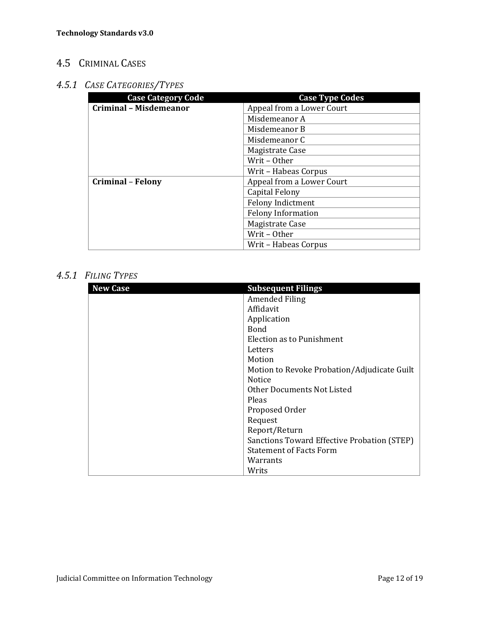### 4.5 CRIMINAL CASES

### *4.5.1 CASE CATEGORIES/TYPES*

| <b>Case Category Code</b>     | <b>Case Type Codes</b>    |
|-------------------------------|---------------------------|
| <b>Criminal - Misdemeanor</b> | Appeal from a Lower Court |
|                               | Misdemeanor A             |
|                               | Misdemeanor B             |
|                               | Misdemeanor C             |
|                               | Magistrate Case           |
|                               | Writ - Other              |
|                               | Writ - Habeas Corpus      |
| <b>Criminal - Felony</b>      | Appeal from a Lower Court |
|                               | Capital Felony            |
|                               | <b>Felony Indictment</b>  |
|                               | <b>Felony Information</b> |
|                               | Magistrate Case           |
|                               | Writ - Other              |
|                               | Writ - Habeas Corpus      |

#### *4.5.1 FILING TYPES*

| <b>New Case</b> | <b>Subsequent Filings</b>                   |
|-----------------|---------------------------------------------|
|                 | <b>Amended Filing</b>                       |
|                 | Affidavit                                   |
|                 | Application                                 |
|                 | <b>Bond</b>                                 |
|                 | Election as to Punishment                   |
|                 | Letters                                     |
|                 | Motion                                      |
|                 | Motion to Revoke Probation/Adjudicate Guilt |
|                 | <b>Notice</b>                               |
|                 | Other Documents Not Listed                  |
|                 | Pleas                                       |
|                 | Proposed Order                              |
|                 | Request                                     |
|                 | Report/Return                               |
|                 | Sanctions Toward Effective Probation (STEP) |
|                 | <b>Statement of Facts Form</b>              |
|                 | Warrants                                    |
|                 | Writs                                       |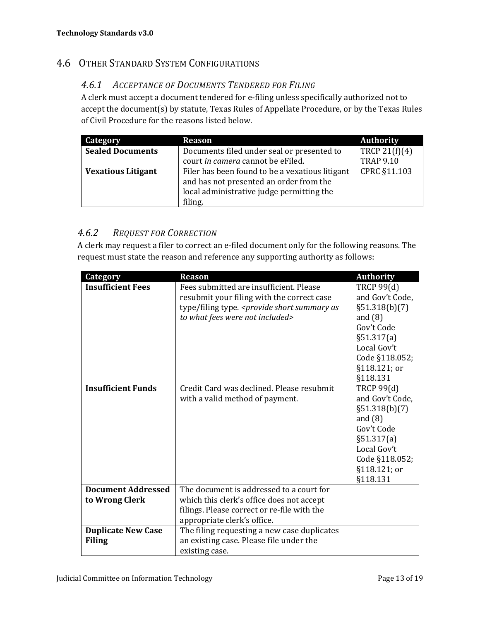### **4.6 OTHER STANDARD SYSTEM CONFIGURATIONS**

#### *4.6.1 ACCEPTANCE OF DOCUMENTS TENDERED FOR FILING*

A clerk must accept a document tendered for e-filing unless specifically authorized not to accept the document(s) by statute, Texas Rules of Appellate Procedure, or by the Texas Rules of Civil Procedure for the reasons listed below.

| Category                  | <b>Reason</b>                                   | <b>Authority</b> |
|---------------------------|-------------------------------------------------|------------------|
| <b>Sealed Documents</b>   | Documents filed under seal or presented to      | TRCP 21 $(f)(4)$ |
|                           | court in camera cannot be eFiled.               | <b>TRAP 9.10</b> |
| <b>Vexatious Litigant</b> | Filer has been found to be a vexatious litigant | CPRC §11.103     |
|                           | and has not presented an order from the         |                  |
|                           | local administrative judge permitting the       |                  |
|                           | filing.                                         |                  |

#### *4.6.2 REQUEST FOR CORRECTION*

A clerk may request a filer to correct an e-filed document only for the following reasons. The request must state the reason and reference any supporting authority as follows:

| <b>Category</b>                             | <b>Reason</b>                                                                                                                                                                                 | <b>Authority</b>                                                                                                                                               |
|---------------------------------------------|-----------------------------------------------------------------------------------------------------------------------------------------------------------------------------------------------|----------------------------------------------------------------------------------------------------------------------------------------------------------------|
| <b>Insufficient Fees</b>                    | Fees submitted are insufficient. Please<br>resubmit your filing with the correct case<br>type/filing type. <provide as<br="" short="" summary="">to what fees were not included&gt;</provide> | <b>TRCP 99(d)</b><br>and Gov't Code,<br>$\S51.318(b)(7)$<br>and $(8)$<br>Gov't Code<br>§51.317(a)                                                              |
|                                             |                                                                                                                                                                                               | Local Gov't<br>Code §118.052;<br>§118.121; or<br>§118.131                                                                                                      |
| <b>Insufficient Funds</b>                   | Credit Card was declined. Please resubmit<br>with a valid method of payment.                                                                                                                  | <b>TRCP 99(d)</b><br>and Gov't Code,<br>$\S51.318(b)(7)$<br>and $(8)$<br>Gov't Code<br>§51.317(a)<br>Local Gov't<br>Code §118.052;<br>§118.121; or<br>§118.131 |
| <b>Document Addressed</b><br>to Wrong Clerk | The document is addressed to a court for<br>which this clerk's office does not accept<br>filings. Please correct or re-file with the<br>appropriate clerk's office.                           |                                                                                                                                                                |
| <b>Duplicate New Case</b><br><b>Filing</b>  | The filing requesting a new case duplicates<br>an existing case. Please file under the<br>existing case.                                                                                      |                                                                                                                                                                |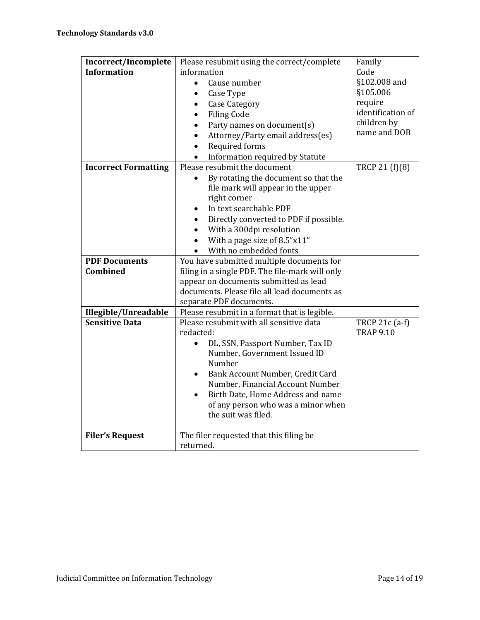| Incorrect/Incomplete        | Please resubmit using the correct/complete      | Family            |
|-----------------------------|-------------------------------------------------|-------------------|
| <b>Information</b>          | information                                     | Code              |
|                             | Cause number                                    | §102.008 and      |
|                             | Case Type                                       | §105.006          |
|                             | <b>Case Category</b><br>$\bullet$               | require           |
|                             | <b>Filing Code</b>                              | identification of |
|                             | Party names on document(s)<br>$\bullet$         | children by       |
|                             | Attorney/Party email address(es)<br>$\bullet$   | name and DOB      |
|                             | Required forms                                  |                   |
|                             | Information required by Statute                 |                   |
| <b>Incorrect Formatting</b> | Please resubmit the document                    | TRCP 21 (f)(8)    |
|                             | By rotating the document so that the            |                   |
|                             | file mark will appear in the upper              |                   |
|                             | right corner                                    |                   |
|                             | In text searchable PDF                          |                   |
|                             | Directly converted to PDF if possible.          |                   |
|                             | With a 300dpi resolution                        |                   |
|                             | With a page size of 8.5"x11"                    |                   |
|                             | With no embedded fonts                          |                   |
| <b>PDF Documents</b>        | You have submitted multiple documents for       |                   |
| <b>Combined</b>             | filing in a single PDF. The file-mark will only |                   |
|                             | appear on documents submitted as lead           |                   |
|                             | documents. Please file all lead documents as    |                   |
|                             | separate PDF documents.                         |                   |
| Illegible/Unreadable        | Please resubmit in a format that is legible.    |                   |
| <b>Sensitive Data</b>       | Please resubmit with all sensitive data         | TRCP 21c (a-f)    |
|                             | redacted:                                       | <b>TRAP 9.10</b>  |
|                             | DL, SSN, Passport Number, Tax ID<br>$\bullet$   |                   |
|                             |                                                 |                   |
|                             | Number, Government Issued ID                    |                   |
|                             | Number                                          |                   |
|                             | Bank Account Number, Credit Card<br>$\bullet$   |                   |
|                             | Number, Financial Account Number                |                   |
|                             | Birth Date, Home Address and name<br>$\bullet$  |                   |
|                             | of any person who was a minor when              |                   |
|                             | the suit was filed.                             |                   |
| <b>Filer's Request</b>      | The filer requested that this filing be         |                   |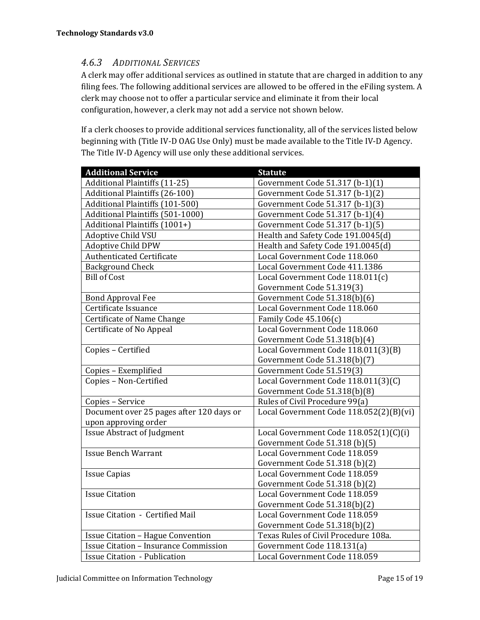#### *4.6.3 ADDITIONAL SERVICES*

A clerk may offer additional services as outlined in statute that are charged in addition to any filing fees. The following additional services are allowed to be offered in the eFiling system. A clerk may choose not to offer a particular service and eliminate it from their local configuration, however, a clerk may not add a service not shown below.

If a clerk chooses to provide additional services functionality, all of the services listed below beginning with (Title IV-D OAG Use Only) must be made available to the Title IV-D Agency. The Title IV-D Agency will use only these additional services.

| <b>Additional Service</b>                    | <b>Statute</b>                          |
|----------------------------------------------|-----------------------------------------|
| <b>Additional Plaintiffs (11-25)</b>         | Government Code 51.317 (b-1)(1)         |
| <b>Additional Plaintiffs (26-100)</b>        | Government Code 51.317 (b-1)(2)         |
| Additional Plaintiffs (101-500)              | Government Code 51.317 (b-1)(3)         |
| Additional Plaintiffs (501-1000)             | Government Code 51.317 (b-1)(4)         |
| Additional Plaintiffs (1001+)                | Government Code 51.317 (b-1)(5)         |
| <b>Adoptive Child VSU</b>                    | Health and Safety Code 191.0045(d)      |
| <b>Adoptive Child DPW</b>                    | Health and Safety Code 191.0045(d)      |
| Authenticated Certificate                    | Local Government Code 118.060           |
| <b>Background Check</b>                      | Local Government Code 411.1386          |
| <b>Bill of Cost</b>                          | Local Government Code 118.011(c)        |
|                                              | Government Code 51.319(3)               |
| <b>Bond Approval Fee</b>                     | Government Code 51.318(b)(6)            |
| Certificate Issuance                         | Local Government Code 118.060           |
| Certificate of Name Change                   | Family Code 45.106(c)                   |
| Certificate of No Appeal                     | Local Government Code 118.060           |
|                                              | Government Code 51.318(b)(4)            |
| Copies - Certified                           | Local Government Code 118.011(3)(B)     |
|                                              | Government Code 51.318(b)(7)            |
| Copies - Exemplified                         | Government Code 51.519(3)               |
| Copies - Non-Certified                       | Local Government Code 118.011(3)(C)     |
|                                              | Government Code 51.318(b)(8)            |
| Copies - Service                             | Rules of Civil Procedure 99(a)          |
| Document over 25 pages after 120 days or     | Local Government Code 118.052(2)(B)(vi) |
| upon approving order                         |                                         |
| <b>Issue Abstract of Judgment</b>            | Local Government Code 118.052(1)(C)(i)  |
|                                              | Government Code 51.318 (b)(5)           |
| <b>Issue Bench Warrant</b>                   | Local Government Code 118.059           |
|                                              | Government Code 51.318 (b)(2)           |
| <b>Issue Capias</b>                          | Local Government Code 118.059           |
|                                              | Government Code 51.318 (b)(2)           |
| <b>Issue Citation</b>                        | Local Government Code 118.059           |
|                                              | Government Code 51.318(b)(2)            |
| <b>Issue Citation - Certified Mail</b>       | Local Government Code 118.059           |
|                                              | Government Code 51.318(b)(2)            |
| <b>Issue Citation - Hague Convention</b>     | Texas Rules of Civil Procedure 108a.    |
| <b>Issue Citation - Insurance Commission</b> | Government Code 118.131(a)              |
| <b>Issue Citation - Publication</b>          | Local Government Code 118.059           |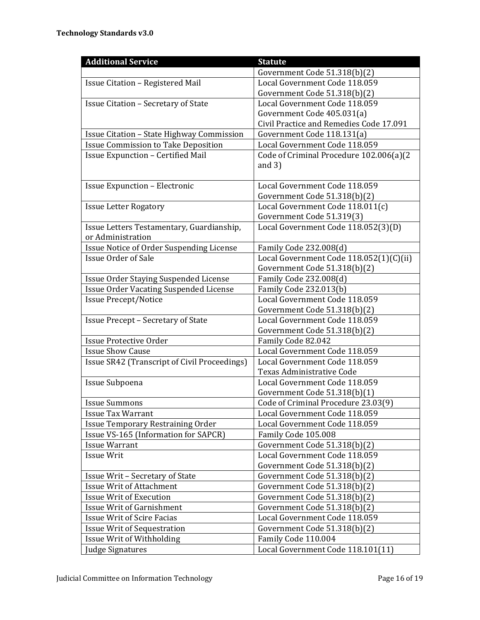| <b>Additional Service</b>                                | <b>Statute</b>                                                 |
|----------------------------------------------------------|----------------------------------------------------------------|
|                                                          | Government Code 51.318(b)(2)                                   |
| Issue Citation - Registered Mail                         | Local Government Code 118.059                                  |
|                                                          | Government Code 51.318(b)(2)                                   |
| <b>Issue Citation - Secretary of State</b>               | Local Government Code 118.059                                  |
|                                                          | Government Code 405.031(a)                                     |
|                                                          | Civil Practice and Remedies Code 17.091                        |
| Issue Citation - State Highway Commission                | Government Code 118.131(a)                                     |
| <b>Issue Commission to Take Deposition</b>               | Local Government Code 118.059                                  |
| <b>Issue Expunction - Certified Mail</b>                 | Code of Criminal Procedure 102.006(a)(2                        |
|                                                          | and $3)$                                                       |
|                                                          |                                                                |
| <b>Issue Expunction - Electronic</b>                     | Local Government Code 118.059                                  |
|                                                          | Government Code 51.318(b)(2)                                   |
| <b>Issue Letter Rogatory</b>                             | Local Government Code 118.011(c)                               |
|                                                          | Government Code 51.319(3)                                      |
| Issue Letters Testamentary, Guardianship,                | Local Government Code 118.052(3)(D)                            |
| or Administration                                        |                                                                |
| Issue Notice of Order Suspending License                 | Family Code 232.008(d)                                         |
| <b>Issue Order of Sale</b>                               | Local Government Code 118.052(1)(C)(ii)                        |
|                                                          | Government Code 51.318(b)(2)                                   |
| Issue Order Staying Suspended License                    | Family Code 232.008(d)                                         |
| <b>Issue Order Vacating Suspended License</b>            | Family Code 232.013(b)                                         |
| <b>Issue Precept/Notice</b>                              | Local Government Code 118.059                                  |
|                                                          | Government Code 51.318(b)(2)                                   |
| <b>Issue Precept - Secretary of State</b>                | Local Government Code 118.059                                  |
|                                                          | Government Code 51.318(b)(2)                                   |
| <b>Issue Protective Order</b><br><b>Issue Show Cause</b> | Family Code 82.042                                             |
| <b>Issue SR42 (Transcript of Civil Proceedings)</b>      | Local Government Code 118.059<br>Local Government Code 118.059 |
|                                                          | Texas Administrative Code                                      |
| Issue Subpoena                                           | Local Government Code 118.059                                  |
|                                                          | Government Code 51.318(b)(1)                                   |
| <b>Issue Summons</b>                                     | Code of Criminal Procedure 23.03(9)                            |
| <b>Issue Tax Warrant</b>                                 | Local Government Code 118.059                                  |
| Issue Temporary Restraining Order                        | Local Government Code 118.059                                  |
| Issue VS-165 (Information for SAPCR)                     | Family Code 105.008                                            |
| <b>Issue Warrant</b>                                     | Government Code 51.318(b)(2)                                   |
| <b>Issue Writ</b>                                        | Local Government Code 118.059                                  |
|                                                          | Government Code 51.318(b)(2)                                   |
| Issue Writ - Secretary of State                          | Government Code 51.318(b)(2)                                   |
| <b>Issue Writ of Attachment</b>                          | Government Code 51.318(b)(2)                                   |
| <b>Issue Writ of Execution</b>                           | Government Code 51.318(b)(2)                                   |
| <b>Issue Writ of Garnishment</b>                         | Government Code 51.318(b)(2)                                   |
| <b>Issue Writ of Scire Facias</b>                        | Local Government Code 118.059                                  |
| <b>Issue Writ of Sequestration</b>                       | Government Code 51.318(b)(2)                                   |
| Issue Writ of Withholding                                | Family Code 110.004                                            |
| <b>Judge Signatures</b>                                  | Local Government Code 118.101(11)                              |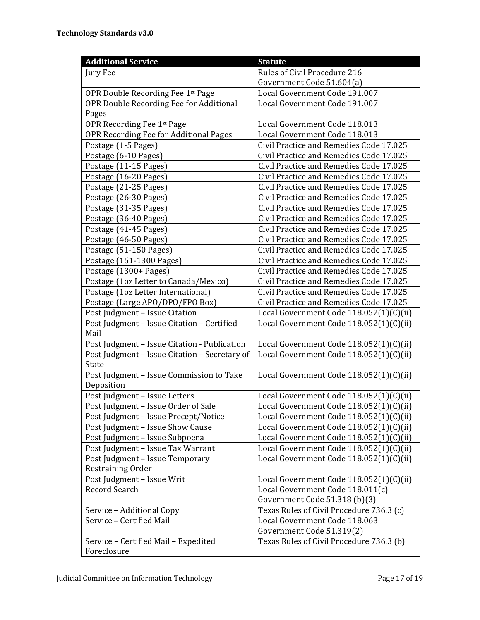| <b>Additional Service</b>                     | <b>Statute</b>                           |
|-----------------------------------------------|------------------------------------------|
| Jury Fee                                      | Rules of Civil Procedure 216             |
|                                               | Government Code 51.604(a)                |
| OPR Double Recording Fee 1st Page             | Local Government Code 191.007            |
| OPR Double Recording Fee for Additional       | Local Government Code 191.007            |
| Pages                                         |                                          |
| OPR Recording Fee 1st Page                    | Local Government Code 118.013            |
| OPR Recording Fee for Additional Pages        | Local Government Code 118.013            |
| Postage (1-5 Pages)                           | Civil Practice and Remedies Code 17.025  |
| Postage (6-10 Pages)                          | Civil Practice and Remedies Code 17.025  |
| Postage (11-15 Pages)                         | Civil Practice and Remedies Code 17.025  |
| Postage (16-20 Pages)                         | Civil Practice and Remedies Code 17.025  |
| Postage (21-25 Pages)                         | Civil Practice and Remedies Code 17.025  |
| Postage (26-30 Pages)                         | Civil Practice and Remedies Code 17.025  |
| Postage (31-35 Pages)                         | Civil Practice and Remedies Code 17.025  |
| Postage (36-40 Pages)                         | Civil Practice and Remedies Code 17.025  |
| Postage (41-45 Pages)                         | Civil Practice and Remedies Code 17.025  |
| Postage (46-50 Pages)                         | Civil Practice and Remedies Code 17.025  |
| Postage (51-150 Pages)                        | Civil Practice and Remedies Code 17.025  |
| Postage (151-1300 Pages)                      | Civil Practice and Remedies Code 17.025  |
| Postage (1300+ Pages)                         | Civil Practice and Remedies Code 17.025  |
| Postage (1oz Letter to Canada/Mexico)         | Civil Practice and Remedies Code 17.025  |
| Postage (1oz Letter International)            | Civil Practice and Remedies Code 17.025  |
| Postage (Large APO/DPO/FPO Box)               | Civil Practice and Remedies Code 17.025  |
| Post Judgment - Issue Citation                | Local Government Code 118.052(1)(C)(ii)  |
| Post Judgment - Issue Citation - Certified    | Local Government Code 118.052(1)(C)(ii)  |
| Mail                                          |                                          |
| Post Judgment - Issue Citation - Publication  | Local Government Code 118.052(1)(C)(ii)  |
| Post Judgment - Issue Citation - Secretary of | Local Government Code 118.052(1)(C)(ii)  |
| State                                         |                                          |
| Post Judgment - Issue Commission to Take      | Local Government Code 118.052(1)(C)(ii)  |
| Deposition                                    |                                          |
| Post Judgment - Issue Letters                 | Local Government Code 118.052(1)(C)(ii)  |
| Post Judgment - Issue Order of Sale           | Local Government Code 118.052(1)(C)(ii)  |
| Post Judgment - Issue Precept/Notice          | Local Government Code 118.052(1)(C)(ii)  |
| Post Judgment - Issue Show Cause              | Local Government Code 118.052(1)(C)(ii)  |
| Post Judgment - Issue Subpoena                | Local Government Code 118.052(1)(C)(ii)  |
| Post Judgment - Issue Tax Warrant             | Local Government Code 118.052(1)(C)(ii)  |
| Post Judgment - Issue Temporary               | Local Government Code 118.052(1)(C)(ii)  |
| Restraining Order                             |                                          |
| Post Judgment - Issue Writ                    | Local Government Code 118.052(1)(C)(ii)  |
| Record Search                                 | Local Government Code 118.011(c)         |
|                                               | Government Code 51.318 (b)(3)            |
| Service - Additional Copy                     | Texas Rules of Civil Procedure 736.3 (c) |
| Service - Certified Mail                      | Local Government Code 118.063            |
|                                               | Government Code 51.319(2)                |
| Service - Certified Mail - Expedited          | Texas Rules of Civil Procedure 736.3 (b) |
| Foreclosure                                   |                                          |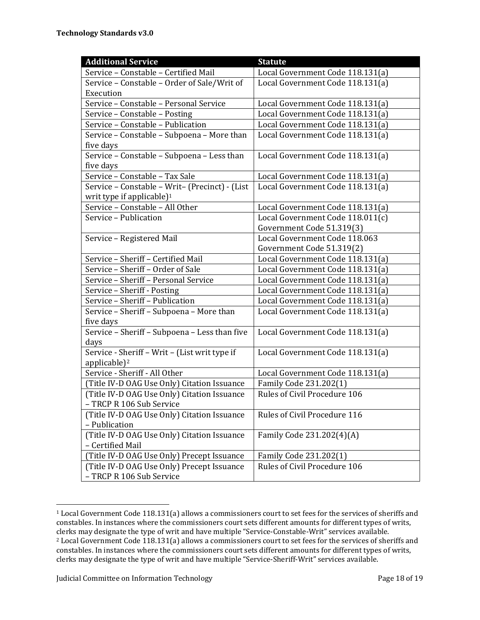| <b>Additional Service</b>                      | <b>Statute</b>                   |
|------------------------------------------------|----------------------------------|
| Service - Constable - Certified Mail           | Local Government Code 118.131(a) |
| Service - Constable - Order of Sale/Writ of    | Local Government Code 118.131(a) |
| Execution                                      |                                  |
| Service - Constable - Personal Service         | Local Government Code 118.131(a) |
| Service - Constable - Posting                  | Local Government Code 118.131(a) |
| Service - Constable - Publication              | Local Government Code 118.131(a) |
| Service - Constable - Subpoena - More than     | Local Government Code 118.131(a) |
| five days                                      |                                  |
| Service - Constable - Subpoena - Less than     | Local Government Code 118.131(a) |
| five days                                      |                                  |
| Service - Constable - Tax Sale                 | Local Government Code 118.131(a) |
| Service - Constable - Writ- (Precinct) - (List | Local Government Code 118.131(a) |
| writ type if applicable) $1$                   |                                  |
| Service - Constable - All Other                | Local Government Code 118.131(a) |
| Service - Publication                          | Local Government Code 118.011(c) |
|                                                | Government Code 51.319(3)        |
| Service - Registered Mail                      | Local Government Code 118.063    |
|                                                | Government Code 51.319(2)        |
| Service - Sheriff - Certified Mail             | Local Government Code 118.131(a) |
| Service - Sheriff - Order of Sale              | Local Government Code 118.131(a) |
| Service - Sheriff - Personal Service           | Local Government Code 118.131(a) |
| Service - Sheriff - Posting                    | Local Government Code 118.131(a) |
| Service - Sheriff - Publication                | Local Government Code 118.131(a) |
| Service - Sheriff - Subpoena - More than       | Local Government Code 118.131(a) |
| five days                                      |                                  |
| Service - Sheriff - Subpoena - Less than five  | Local Government Code 118.131(a) |
| days                                           |                                  |
| Service - Sheriff - Writ - (List writ type if  | Local Government Code 118.131(a) |
| applicable) <sup>2</sup>                       |                                  |
| Service - Sheriff - All Other                  | Local Government Code 118.131(a) |
| (Title IV-D OAG Use Only) Citation Issuance    | Family Code 231.202(1)           |
| (Title IV-D OAG Use Only) Citation Issuance    | Rules of Civil Procedure 106     |
| - TRCP R 106 Sub Service                       |                                  |
| (Title IV-D OAG Use Only) Citation Issuance    | Rules of Civil Procedure 116     |
| - Publication                                  |                                  |
| (Title IV-D OAG Use Only) Citation Issuance    | Family Code 231.202(4)(A)        |
| - Certified Mail                               |                                  |
| (Title IV-D OAG Use Only) Precept Issuance     | Family Code 231.202(1)           |
| (Title IV-D OAG Use Only) Precept Issuance     | Rules of Civil Procedure 106     |
| - TRCP R 106 Sub Service                       |                                  |

<sup>&</sup>lt;sup>1</sup> Local Government Code 118.131(a) allows a commissioners court to set fees for the services of sheriffs and constables. In instances where the commissioners court sets different amounts for different types of writs, clerks may designate the type of writ and have multiple "Service-Constable-Writ" services available. <sup>2</sup> Local Government Code 118.131(a) allows a commissioners court to set fees for the services of sheriffs and constables. In instances where the commissioners court sets different amounts for different types of writs, clerks may designate the type of writ and have multiple "Service-Sheriff-Writ" services available.

<u> 1989 - Johann Stein, fransk politik (d. 1989)</u>